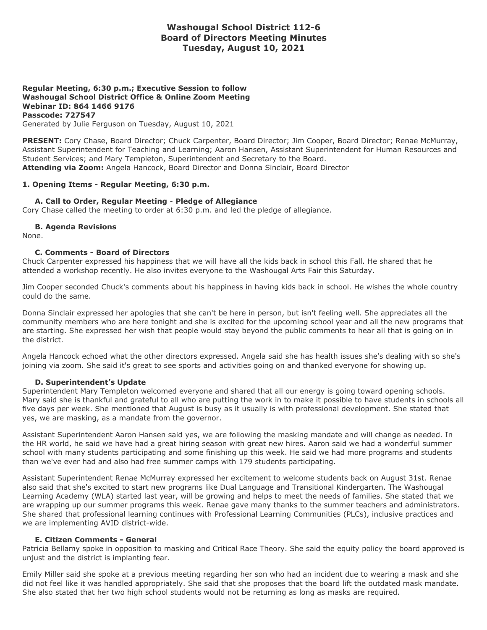# **Washougal School District 112-6 Board of Directors Meeting Minutes Tuesday, August 10, 2021**

### **Regular Meeting, 6:30 p.m.; Executive Session to follow Washougal School District Office & Online Zoom Meeting Webinar ID: 864 1466 9176 Passcode: 727547** Generated by Julie Ferguson on Tuesday, August 10, 2021

**PRESENT:** Cory Chase, Board Director; Chuck Carpenter, Board Director; Jim Cooper, Board Director; Renae McMurray, Assistant Superintendent for Teaching and Learning; Aaron Hansen, Assistant Superintendent for Human Resources and Student Services; and Mary Templeton, Superintendent and Secretary to the Board. **Attending via Zoom:** Angela Hancock, Board Director and Donna Sinclair, Board Director

## **1. Opening Items - Regular Meeting, 6:30 p.m.**

## **A. Call to Order, Regular Meeting** - **Pledge of Allegiance**

Cory Chase called the meeting to order at 6:30 p.m. and led the pledge of allegiance.

## **B. Agenda Revisions**

None.

## **C. Comments - Board of Directors**

Chuck Carpenter expressed his happiness that we will have all the kids back in school this Fall. He shared that he attended a workshop recently. He also invites everyone to the Washougal Arts Fair this Saturday.

Jim Cooper seconded Chuck's comments about his happiness in having kids back in school. He wishes the whole country could do the same.

Donna Sinclair expressed her apologies that she can't be here in person, but isn't feeling well. She appreciates all the community members who are here tonight and she is excited for the upcoming school year and all the new programs that are starting. She expressed her wish that people would stay beyond the public comments to hear all that is going on in the district.

Angela Hancock echoed what the other directors expressed. Angela said she has health issues she's dealing with so she's joining via zoom. She said it's great to see sports and activities going on and thanked everyone for showing up.

## **D. Superintendent's Update**

Superintendent Mary Templeton welcomed everyone and shared that all our energy is going toward opening schools. Mary said she is thankful and grateful to all who are putting the work in to make it possible to have students in schools all five days per week. She mentioned that August is busy as it usually is with professional development. She stated that yes, we are masking, as a mandate from the governor.

Assistant Superintendent Aaron Hansen said yes, we are following the masking mandate and will change as needed. In the HR world, he said we have had a great hiring season with great new hires. Aaron said we had a wonderful summer school with many students participating and some finishing up this week. He said we had more programs and students than we've ever had and also had free summer camps with 179 students participating.

Assistant Superintendent Renae McMurray expressed her excitement to welcome students back on August 31st. Renae also said that she's excited to start new programs like Dual Language and Transitional Kindergarten. The Washougal Learning Academy (WLA) started last year, will be growing and helps to meet the needs of families. She stated that we are wrapping up our summer programs this week. Renae gave many thanks to the summer teachers and administrators. She shared that professional learning continues with Professional Learning Communities (PLCs), inclusive practices and we are implementing AVID district-wide.

## **E. Citizen Comments - General**

Patricia Bellamy spoke in opposition to masking and Critical Race Theory. She said the equity policy the board approved is unjust and the district is implanting fear.

Emily Miller said she spoke at a previous meeting regarding her son who had an incident due to wearing a mask and she did not feel like it was handled appropriately. She said that she proposes that the board lift the outdated mask mandate. She also stated that her two high school students would not be returning as long as masks are required.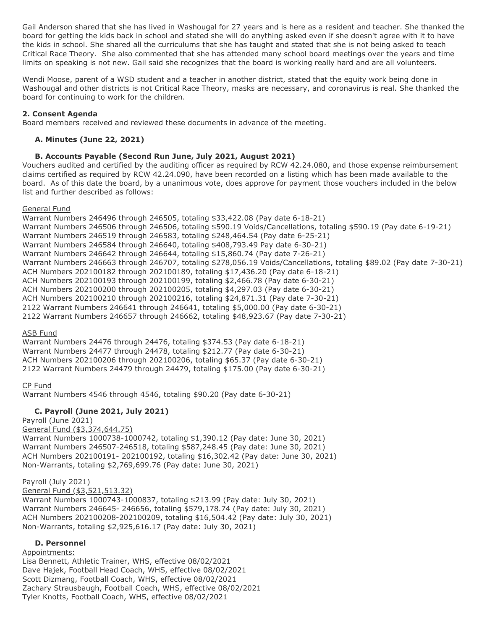Gail Anderson shared that she has lived in Washougal for 27 years and is here as a resident and teacher. She thanked the board for getting the kids back in school and stated she will do anything asked even if she doesn't agree with it to have the kids in school. She shared all the curriculums that she has taught and stated that she is not being asked to teach Critical Race Theory. She also commented that she has attended many school board meetings over the years and time limits on speaking is not new. Gail said she recognizes that the board is working really hard and are all volunteers.

Wendi Moose, parent of a WSD student and a teacher in another district, stated that the equity work being done in Washougal and other districts is not Critical Race Theory, masks are necessary, and coronavirus is real. She thanked the board for continuing to work for the children.

## **2. Consent Agenda**

Board members received and reviewed these documents in advance of the meeting.

## **A. Minutes (June 22, 2021)**

## **B. Accounts Payable (Second Run June, July 2021, August 2021)**

Vouchers audited and certified by the auditing officer as required by RCW 42.24.080, and those expense reimbursement claims certified as required by RCW 42.24.090, have been recorded on a listing which has been made available to the board. As of this date the board, by a unanimous vote, does approve for payment those vouchers included in the below list and further described as follows:

## General Fund

Warrant Numbers 246496 through 246505, totaling \$33,422.08 (Pay date 6-18-21) Warrant Numbers 246506 through 246506, totaling \$590.19 Voids/Cancellations, totaling \$590.19 (Pay date 6-19-21) Warrant Numbers 246519 through 246583, totaling \$248,464.54 (Pay date 6-25-21) Warrant Numbers 246584 through 246640, totaling \$408,793.49 Pay date 6-30-21) Warrant Numbers 246642 through 246644, totaling \$15,860.74 (Pay date 7-26-21) Warrant Numbers 246663 through 246707, totaling \$278,056.19 Voids/Cancellations, totaling \$89.02 (Pay date 7-30-21) ACH Numbers 202100182 through 202100189, totaling \$17,436.20 (Pay date 6-18-21) ACH Numbers 202100193 through 202100199, totaling \$2,466.78 (Pay date 6-30-21) ACH Numbers 202100200 through 202100205, totaling \$4,297.03 (Pay date 6-30-21) ACH Numbers 202100210 through 202100216, totaling \$24,871.31 (Pay date 7-30-21) 2122 Warrant Numbers 246641 through 246641, totaling \$5,000.00 (Pay date 6-30-21) 2122 Warrant Numbers 246657 through 246662, totaling \$48,923.67 (Pay date 7-30-21)

## ASB Fund

Warrant Numbers 24476 through 24476, totaling \$374.53 (Pay date 6-18-21) Warrant Numbers 24477 through 24478, totaling \$212.77 (Pay date 6-30-21) ACH Numbers 202100206 through 202100206, totaling \$65.37 (Pay date 6-30-21) 2122 Warrant Numbers 24479 through 24479, totaling \$175.00 (Pay date 6-30-21)

CP Fund Warrant Numbers 4546 through 4546, totaling \$90.20 (Pay date 6-30-21)

# **C. Payroll (June 2021, July 2021)**

Payroll (June 2021)

# General Fund (\$3,374,644.75)

Warrant Numbers 1000738-1000742, totaling \$1,390.12 (Pay date: June 30, 2021) Warrant Numbers 246507-246518, totaling \$587,248.45 (Pay date: June 30, 2021) ACH Numbers 202100191- 202100192, totaling \$16,302.42 (Pay date: June 30, 2021) Non-Warrants, totaling \$2,769,699.76 (Pay date: June 30, 2021)

# Payroll (July 2021)

General Fund (\$3,521,513.32)

Warrant Numbers 1000743-1000837, totaling \$213.99 (Pay date: July 30, 2021) Warrant Numbers 246645- 246656, totaling \$579,178.74 (Pay date: July 30, 2021) ACH Numbers 202100208-202100209, totaling \$16,504.42 (Pay date: July 30, 2021) Non-Warrants, totaling \$2,925,616.17 (Pay date: July 30, 2021)

# **D. Personnel**

# Appointments:

Lisa Bennett, Athletic Trainer, WHS, effective 08/02/2021 Dave Hajek, Football Head Coach, WHS, effective 08/02/2021 Scott Dizmang, Football Coach, WHS, effective 08/02/2021 Zachary Strausbaugh, Football Coach, WHS, effective 08/02/2021 Tyler Knotts, Football Coach, WHS, effective 08/02/2021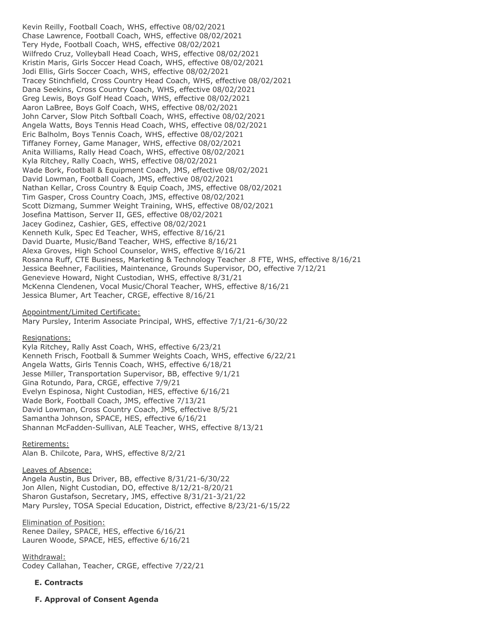Kevin Reilly, Football Coach, WHS, effective 08/02/2021 Chase Lawrence, Football Coach, WHS, effective 08/02/2021 Tery Hyde, Football Coach, WHS, effective 08/02/2021 Wilfredo Cruz, Volleyball Head Coach, WHS, effective 08/02/2021 Kristin Maris, Girls Soccer Head Coach, WHS, effective 08/02/2021 Jodi Ellis, Girls Soccer Coach, WHS, effective 08/02/2021 Tracey Stinchfield, Cross Country Head Coach, WHS, effective 08/02/2021 Dana Seekins, Cross Country Coach, WHS, effective 08/02/2021 Greg Lewis, Boys Golf Head Coach, WHS, effective 08/02/2021 Aaron LaBree, Boys Golf Coach, WHS, effective 08/02/2021 John Carver, Slow Pitch Softball Coach, WHS, effective 08/02/2021 Angela Watts, Boys Tennis Head Coach, WHS, effective 08/02/2021 Eric Balholm, Boys Tennis Coach, WHS, effective 08/02/2021 Tiffaney Forney, Game Manager, WHS, effective 08/02/2021 Anita Williams, Rally Head Coach, WHS, effective 08/02/2021 Kyla Ritchey, Rally Coach, WHS, effective 08/02/2021 Wade Bork, Football & Equipment Coach, JMS, effective 08/02/2021 David Lowman, Football Coach, JMS, effective 08/02/2021 Nathan Kellar, Cross Country & Equip Coach, JMS, effective 08/02/2021 Tim Gasper, Cross Country Coach, JMS, effective 08/02/2021 Scott Dizmang, Summer Weight Training, WHS, effective 08/02/2021 Josefina Mattison, Server II, GES, effective 08/02/2021 Jacey Godinez, Cashier, GES, effective 08/02/2021 Kenneth Kulk, Spec Ed Teacher, WHS, effective 8/16/21 David Duarte, Music/Band Teacher, WHS, effective 8/16/21 Alexa Groves, High School Counselor, WHS, effective 8/16/21 Rosanna Ruff, CTE Business, Marketing & Technology Teacher .8 FTE, WHS, effective 8/16/21 Jessica Beehner, Facilities, Maintenance, Grounds Supervisor, DO, effective 7/12/21 Genevieve Howard, Night Custodian, WHS, effective 8/31/21 McKenna Clendenen, Vocal Music/Choral Teacher, WHS, effective 8/16/21 Jessica Blumer, Art Teacher, CRGE, effective 8/16/21

#### Appointment/Limited Certificate:

Mary Pursley, Interim Associate Principal, WHS, effective 7/1/21-6/30/22

Resignations:

Kyla Ritchey, Rally Asst Coach, WHS, effective 6/23/21 Kenneth Frisch, Football & Summer Weights Coach, WHS, effective 6/22/21 Angela Watts, Girls Tennis Coach, WHS, effective 6/18/21 Jesse Miller, Transportation Supervisor, BB, effective 9/1/21 Gina Rotundo, Para, CRGE, effective 7/9/21 Evelyn Espinosa, Night Custodian, HES, effective 6/16/21 Wade Bork, Football Coach, JMS, effective 7/13/21 David Lowman, Cross Country Coach, JMS, effective 8/5/21 Samantha Johnson, SPACE, HES, effective 6/16/21 Shannan McFadden-Sullivan, ALE Teacher, WHS, effective 8/13/21

Retirements:

Alan B. Chilcote, Para, WHS, effective 8/2/21

#### Leaves of Absence:

Angela Austin, Bus Driver, BB, effective 8/31/21-6/30/22 Jon Allen, Night Custodian, DO, effective 8/12/21-8/20/21 Sharon Gustafson, Secretary, JMS, effective 8/31/21-3/21/22 Mary Pursley, TOSA Special Education, District, effective 8/23/21-6/15/22

Elimination of Position:

Renee Dailey, SPACE, HES, effective 6/16/21 Lauren Woode, SPACE, HES, effective 6/16/21

Withdrawal: Codey Callahan, Teacher, CRGE, effective 7/22/21

#### **E. Contracts**

**F. Approval of Consent Agenda**